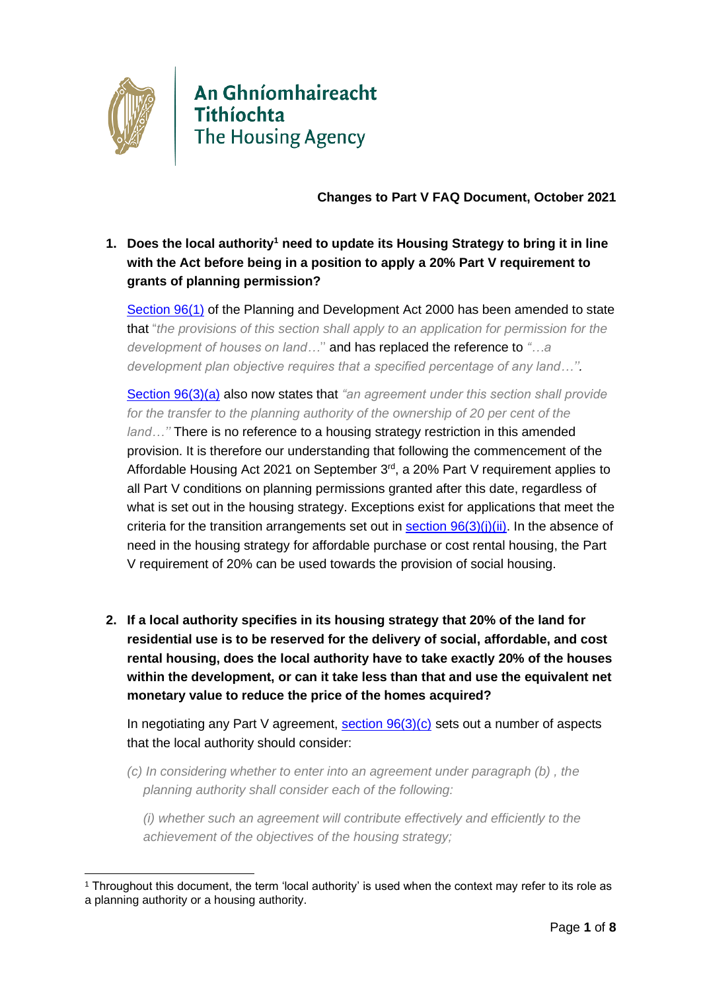

# An Ghníomhaireacht Tithíochta<br>The Housing Agency

**Changes to Part V FAQ Document, October 2021**

**1. Does the local authority<sup>1</sup> need to update its Housing Strategy to bring it in line with the Act before being in a position to apply a 20% Part V requirement to grants of planning permission?**

[Section 96\(1\)](https://revisedacts.lawreform.ie/eli/2000/act/30/revised/en/html#SEC96) of the Planning and Development Act 2000 has been amended to state that "*the provisions of this section shall apply to an application for permission for the development of houses on land…*'' and has replaced the reference to *"…a development plan objective requires that a specified percentage of any land…''.*

[Section 96\(3\)\(](https://revisedacts.lawreform.ie/eli/2000/act/30/revised/en/html#SEC96)a) also now states that *"an agreement under this section shall provide for the transfer to the planning authority of the ownership of 20 per cent of the* 

*land…''* There is no reference to a housing strategy restriction in this amended provision. It is therefore our understanding that following the commencement of the Affordable Housing Act 2021 on September  $3<sup>rd</sup>$ , a 20% Part V requirement applies to all Part V conditions on planning permissions granted after this date, regardless of what is set out in the housing strategy. Exceptions exist for applications that meet the criteria for the transition arrangements set out in section  $96(3)(i)(ii)$ . In the absence of need in the housing strategy for affordable purchase or cost rental housing, the Part V requirement of 20% can be used towards the provision of social housing.

**2. If a local authority specifies in its housing strategy that 20% of the land for residential use is to be reserved for the delivery of social, affordable, and cost rental housing, does the local authority have to take exactly 20% of the houses within the development, or can it take less than that and use the equivalent net monetary value to reduce the price of the homes acquired?**

In negotiating any Part V agreement,  $section\ 96(3)(c)$  sets out a number of aspects that the local authority should consider:

*(c) In considering whether to enter into an agreement under paragraph (b) , the planning authority shall consider each of the following:*

*(i) whether such an agreement will contribute effectively and efficiently to the achievement of the objectives of the housing strategy;*

<sup>1</sup> Throughout this document, the term 'local authority' is used when the context may refer to its role as a planning authority or a housing authority.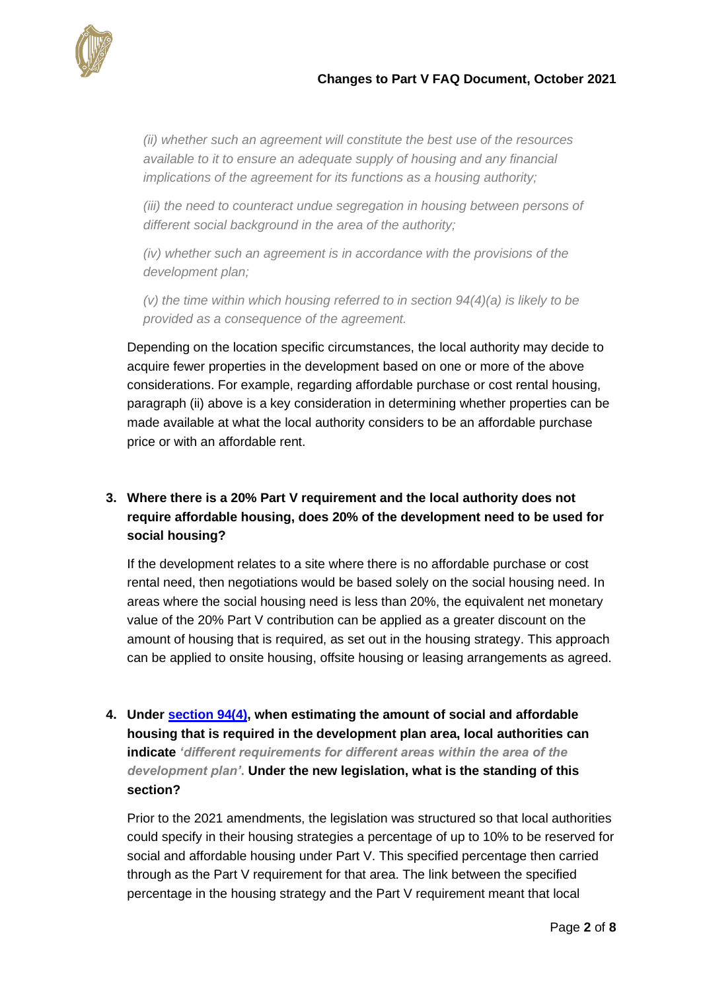

*(ii) whether such an agreement will constitute the best use of the resources available to it to ensure an adequate supply of housing and any financial implications of the agreement for its functions as a housing authority;*

*(iii)* the need to counteract undue segregation in housing between persons of *different social background in the area of the authority;*

*(iv) whether such an agreement is in accordance with the provisions of the development plan;*

*(v) the time within which housing referred to in section 94(4)(a) is likely to be provided as a consequence of the agreement.*

Depending on the location specific circumstances, the local authority may decide to acquire fewer properties in the development based on one or more of the above considerations. For example, regarding affordable purchase or cost rental housing, paragraph (ii) above is a key consideration in determining whether properties can be made available at what the local authority considers to be an affordable purchase price or with an affordable rent.

# **3. Where there is a 20% Part V requirement and the local authority does not require affordable housing, does 20% of the development need to be used for social housing?**

If the development relates to a site where there is no affordable purchase or cost rental need, then negotiations would be based solely on the social housing need. In areas where the social housing need is less than 20%, the equivalent net monetary value of the 20% Part V contribution can be applied as a greater discount on the amount of housing that is required, as set out in the housing strategy. This approach can be applied to onsite housing, offsite housing or leasing arrangements as agreed.

**4. Under [section 94\(4\),](https://revisedacts.lawreform.ie/eli/2000/act/30/revised/en/html#SEC96) when estimating the amount of social and affordable housing that is required in the development plan area, local authorities can indicate** *'different requirements for different areas within the area of the development plan'***. Under the new legislation, what is the standing of this section?** 

Prior to the 2021 amendments, the legislation was structured so that local authorities could specify in their housing strategies a percentage of up to 10% to be reserved for social and affordable housing under Part V. This specified percentage then carried through as the Part V requirement for that area. The link between the specified percentage in the housing strategy and the Part V requirement meant that local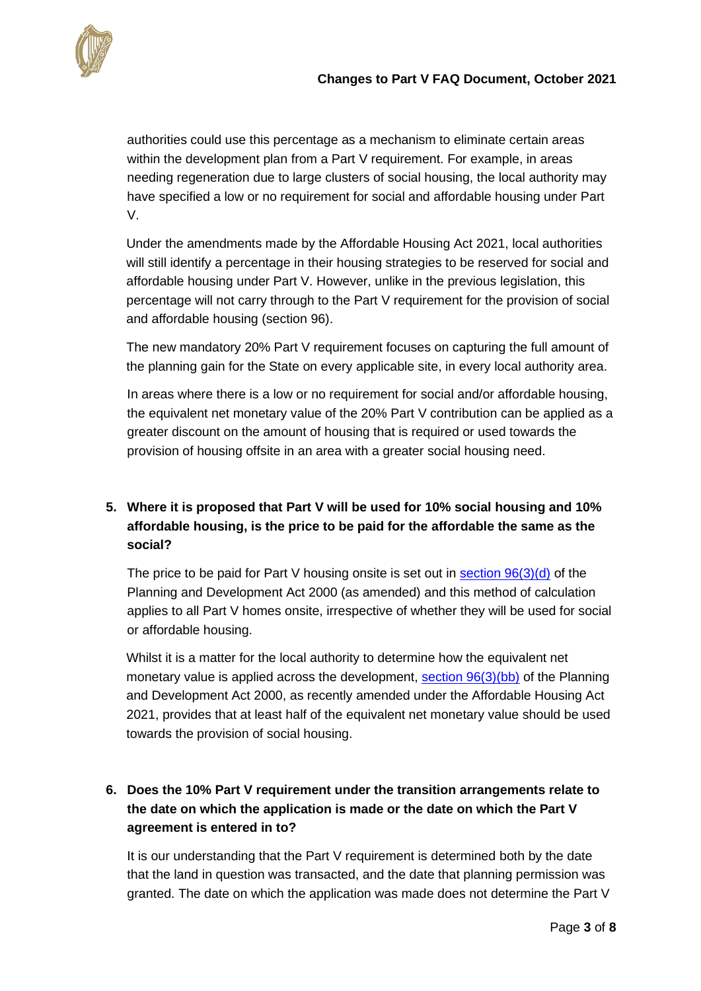

authorities could use this percentage as a mechanism to eliminate certain areas within the development plan from a Part V requirement. For example, in areas needing regeneration due to large clusters of social housing, the local authority may have specified a low or no requirement for social and affordable housing under Part V.

Under the amendments made by the Affordable Housing Act 2021, local authorities will still identify a percentage in their housing strategies to be reserved for social and affordable housing under Part V. However, unlike in the previous legislation, this percentage will not carry through to the Part V requirement for the provision of social and affordable housing (section 96).

The new mandatory 20% Part V requirement focuses on capturing the full amount of the planning gain for the State on every applicable site, in every local authority area.

In areas where there is a low or no requirement for social and/or affordable housing, the equivalent net monetary value of the 20% Part V contribution can be applied as a greater discount on the amount of housing that is required or used towards the provision of housing offsite in an area with a greater social housing need.

# **5. Where it is proposed that Part V will be used for 10% social housing and 10% affordable housing, is the price to be paid for the affordable the same as the social?**

The price to be paid for Part V housing onsite is set out in section  $96(3)(d)$  of the Planning and Development Act 2000 (as amended) and this method of calculation applies to all Part V homes onsite, irrespective of whether they will be used for social or affordable housing.

Whilst it is a matter for the local authority to determine how the equivalent net monetary value is applied across the development, [section 96\(3\)\(bb\)](https://revisedacts.lawreform.ie/eli/2000/act/30/revised/en/html#SEC96) of the Planning and Development Act 2000, as recently amended under the Affordable Housing Act 2021, provides that at least half of the equivalent net monetary value should be used towards the provision of social housing.

# **6. Does the 10% Part V requirement under the transition arrangements relate to the date on which the application is made or the date on which the Part V agreement is entered in to?**

It is our understanding that the Part V requirement is determined both by the date that the land in question was transacted, and the date that planning permission was granted. The date on which the application was made does not determine the Part V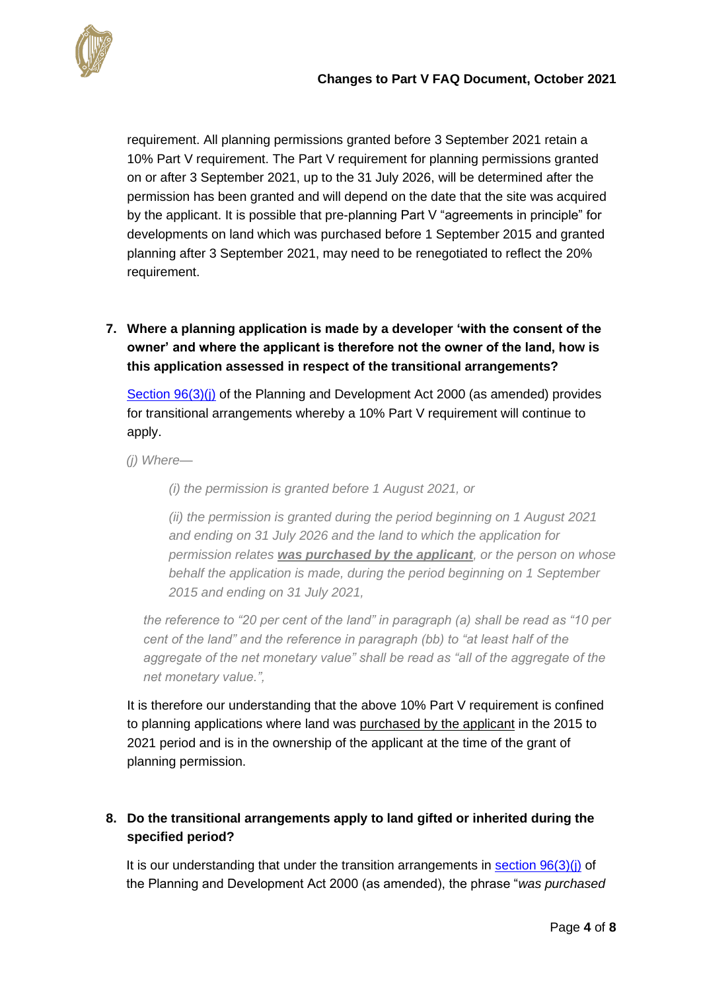

requirement. All planning permissions granted before 3 September 2021 retain a 10% Part V requirement. The Part V requirement for planning permissions granted on or after 3 September 2021, up to the 31 July 2026, will be determined after the permission has been granted and will depend on the date that the site was acquired by the applicant. It is possible that pre-planning Part V "agreements in principle" for developments on land which was purchased before 1 September 2015 and granted planning after 3 September 2021, may need to be renegotiated to reflect the 20% requirement.

# **7. Where a planning application is made by a developer 'with the consent of the owner' and where the applicant is therefore not the owner of the land, how is this application assessed in respect of the transitional arrangements?**

[Section 96\(3\)\(j\)](https://revisedacts.lawreform.ie/eli/2000/act/30/revised/en/html#SEC96) of the Planning and Development Act 2000 (as amended) provides for transitional arrangements whereby a 10% Part V requirement will continue to apply.

*(j) Where—*

*(i) the permission is granted before 1 August 2021, or*

*(ii) the permission is granted during the period beginning on 1 August 2021 and ending on 31 July 2026 and the land to which the application for permission relates was purchased by the applicant, or the person on whose behalf the application is made, during the period beginning on 1 September 2015 and ending on 31 July 2021,*

*the reference to "20 per cent of the land" in paragraph (a) shall be read as "10 per cent of the land" and the reference in paragraph (bb) to "at least half of the aggregate of the net monetary value" shall be read as "all of the aggregate of the net monetary value.",*

It is therefore our understanding that the above 10% Part V requirement is confined to planning applications where land was purchased by the applicant in the 2015 to 2021 period and is in the ownership of the applicant at the time of the grant of planning permission.

# **8. Do the transitional arrangements apply to land gifted or inherited during the specified period?**

It is our understanding that under the transition arrangements in section  $96(3)(i)$  of the Planning and Development Act 2000 (as amended), the phrase "*was purchased*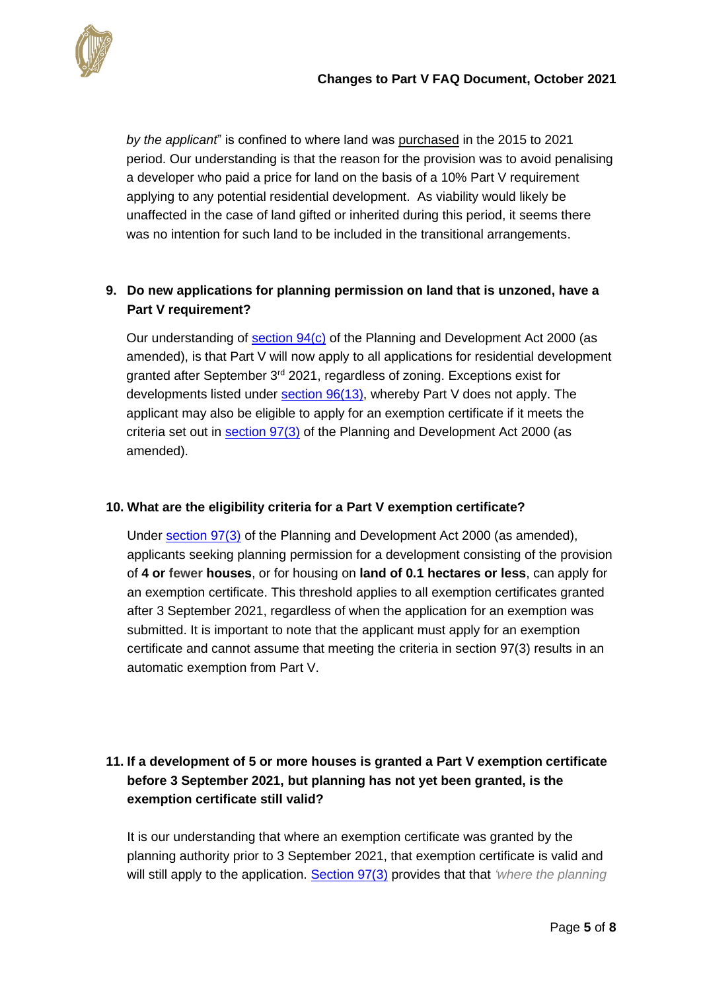

*by the applicant*" is confined to where land was purchased in the 2015 to 2021 period. Our understanding is that the reason for the provision was to avoid penalising a developer who paid a price for land on the basis of a 10% Part V requirement applying to any potential residential development. As viability would likely be unaffected in the case of land gifted or inherited during this period, it seems there was no intention for such land to be included in the transitional arrangements.

#### **9. Do new applications for planning permission on land that is unzoned, have a Part V requirement?**

Our understanding of [section 94\(c\)](https://revisedacts.lawreform.ie/eli/2000/act/30/revised/en/html#SEC94) of the Planning and Development Act 2000 (as amended), is that Part V will now apply to all applications for residential development granted after September 3<sup>rd</sup> 2021, regardless of zoning. Exceptions exist for developments listed under [section 96\(13\),](https://revisedacts.lawreform.ie/eli/2000/act/30/revised/en/html#SEC96) whereby Part V does not apply. The applicant may also be eligible to apply for an exemption certificate if it meets the criteria set out in [section 97\(3\)](https://revisedacts.lawreform.ie/eli/2000/act/30/revised/en/html#SEC97) of the Planning and Development Act 2000 (as amended).

#### **10. What are the eligibility criteria for a Part V exemption certificate?**

Under [section 97\(3\)](https://revisedacts.lawreform.ie/eli/2000/act/30/revised/en/html#SEC97) of the Planning and Development Act 2000 (as amended), applicants seeking planning permission for a development consisting of the provision of **4 or fewer houses**, or for housing on **land of 0.1 hectares or less**, can apply for an exemption certificate. This threshold applies to all exemption certificates granted after 3 September 2021, regardless of when the application for an exemption was submitted. It is important to note that the applicant must apply for an exemption certificate and cannot assume that meeting the criteria in section 97(3) results in an automatic exemption from Part V.

# **11. If a development of 5 or more houses is granted a Part V exemption certificate before 3 September 2021, but planning has not yet been granted, is the exemption certificate still valid?**

It is our understanding that where an exemption certificate was granted by the planning authority prior to 3 September 2021, that exemption certificate is valid and will still apply to the application. [Section 97\(3\)](https://revisedacts.lawreform.ie/eli/2000/act/30/revised/en/html#SEC97) provides that that *'where the planning*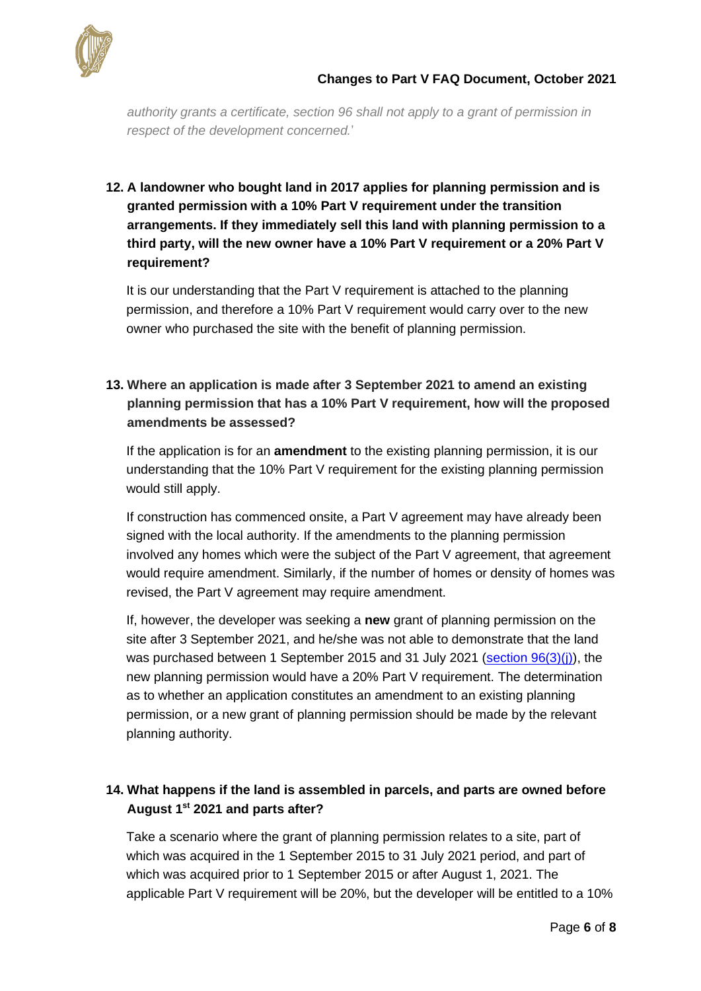

*authority grants a certificate, section 96 shall not apply to a grant of permission in respect of the development concerned.*'

# **12. A landowner who bought land in 2017 applies for planning permission and is granted permission with a 10% Part V requirement under the transition arrangements. If they immediately sell this land with planning permission to a third party, will the new owner have a 10% Part V requirement or a 20% Part V requirement?**

It is our understanding that the Part V requirement is attached to the planning permission, and therefore a 10% Part V requirement would carry over to the new owner who purchased the site with the benefit of planning permission.

# **13. Where an application is made after 3 September 2021 to amend an existing planning permission that has a 10% Part V requirement, how will the proposed amendments be assessed?**

If the application is for an **amendment** to the existing planning permission, it is our understanding that the 10% Part V requirement for the existing planning permission would still apply.

If construction has commenced onsite, a Part V agreement may have already been signed with the local authority. If the amendments to the planning permission involved any homes which were the subject of the Part V agreement, that agreement would require amendment. Similarly, if the number of homes or density of homes was revised, the Part V agreement may require amendment.

If, however, the developer was seeking a **new** grant of planning permission on the site after 3 September 2021, and he/she was not able to demonstrate that the land was purchased between 1 September 2015 and 31 July 2021 (section  $96(3)(i)$ ), the new planning permission would have a 20% Part V requirement. The determination as to whether an application constitutes an amendment to an existing planning permission, or a new grant of planning permission should be made by the relevant planning authority.

# **14. What happens if the land is assembled in parcels, and parts are owned before August 1st 2021 and parts after?**

Take a scenario where the grant of planning permission relates to a site, part of which was acquired in the 1 September 2015 to 31 July 2021 period, and part of which was acquired prior to 1 September 2015 or after August 1, 2021. The applicable Part V requirement will be 20%, but the developer will be entitled to a 10%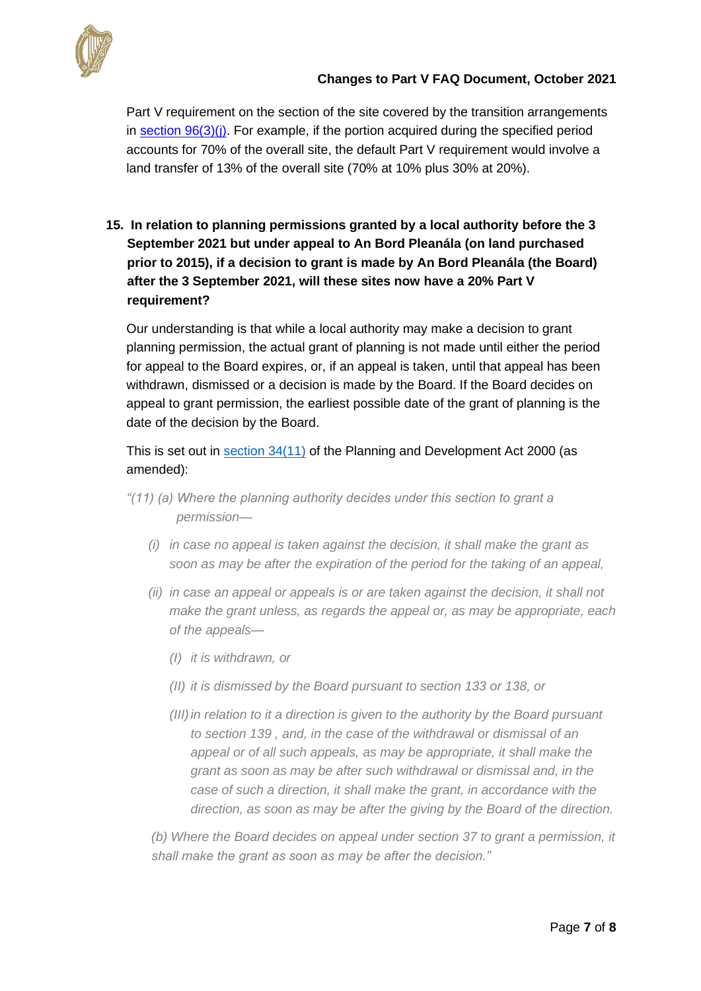

Part V requirement on the section of the site covered by the transition arrangements in section  $96(3)(i)$ . For example, if the portion acquired during the specified period accounts for 70% of the overall site, the default Part V requirement would involve a land transfer of 13% of the overall site (70% at 10% plus 30% at 20%).

**15. In relation to planning permissions granted by a local authority before the 3 September 2021 but under appeal to An Bord Pleanála (on land purchased prior to 2015), if a decision to grant is made by An Bord Pleanála (the Board) after the 3 September 2021, will these sites now have a 20% Part V requirement?**

Our understanding is that while a local authority may make a decision to grant planning permission, the actual grant of planning is not made until either the period for appeal to the Board expires, or, if an appeal is taken, until that appeal has been withdrawn, dismissed or a decision is made by the Board. If the Board decides on appeal to grant permission, the earliest possible date of the grant of planning is the date of the decision by the Board.

This is set out in [section 34\(11\)](https://revisedacts.lawreform.ie/eli/2000/act/30/revised/en/html#SEC34) of the Planning and Development Act 2000 (as amended):

- *"(11) (a) Where the planning authority decides under this section to grant a permission—*
	- *(i) in case no appeal is taken against the decision, it shall make the grant as soon as may be after the expiration of the period for the taking of an appeal,*
	- *(ii) in case an appeal or appeals is or are taken against the decision, it shall not make the grant unless, as regards the appeal or, as may be appropriate, each of the appeals—*
		- *(I) it is withdrawn, or*
		- *(II) it is dismissed by the Board pursuant to section 133 or 138, or*
		- *(III)in relation to it a direction is given to the authority by the Board pursuant to section 139 , and, in the case of the withdrawal or dismissal of an appeal or of all such appeals, as may be appropriate, it shall make the grant as soon as may be after such withdrawal or dismissal and, in the case of such a direction, it shall make the grant, in accordance with the direction, as soon as may be after the giving by the Board of the direction.*

*(b) Where the Board decides on appeal under section 37 to grant a permission, it shall make the grant as soon as may be after the decision."*